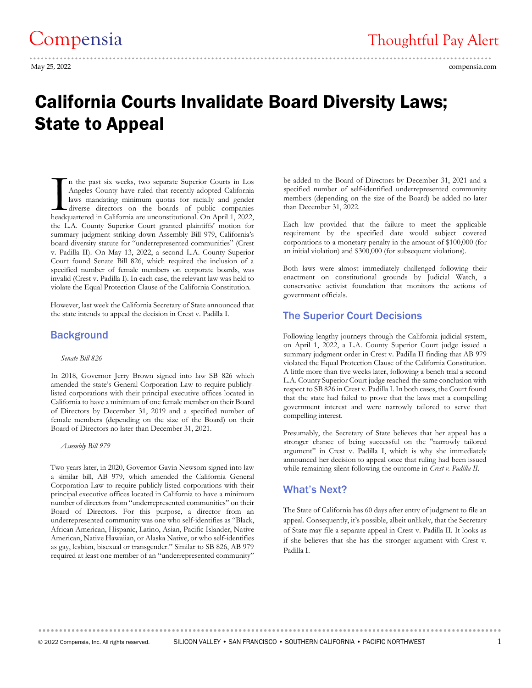# ..........................................................................................................................

May 25, 2022 compensia.com

## California Courts Invalidate Board Diversity Laws; State to Appeal

n the past six weeks, two separate Superior Courts in Los Angeles County have ruled that recently-adopted California laws mandating minimum quotas for racially and gender diverse directors on the boards of public companies In the past six weeks, two separate Superior Courts in Los Angeles County have ruled that recently-adopted California laws mandating minimum quotas for racially and gender diverse directors on the boards of public companie the L.A. County Superior Court granted plaintiffs' motion for summary judgment striking down Assembly Bill 979, California's board diversity statute for "underrepresented communities" (Crest v. Padilla II). On May 13, 2022, a second L.A. County Superior Court found Senate Bill 826, which required the inclusion of a specified number of female members on corporate boards, was invalid (Crest v. Padilla I). In each case, the relevant law was held to violate the Equal Protection Clause of the California Constitution.

However, last week the California Secretary of State announced that the state intends to appeal the decision in Crest v. Padilla I.

#### **Background**

#### *Senate Bill 826*

In 2018, Governor Jerry Brown signed into law SB 826 which amended the state's General Corporation Law to require publiclylisted corporations with their principal executive offices located in California to have a minimum of one female member on their Board of Directors by December 31, 2019 and a specified number of female members (depending on the size of the Board) on their Board of Directors no later than December 31, 2021.

 *Assembly Bill 979*

Two years later, in 2020, Governor Gavin Newsom signed into law a similar bill, AB 979, which amended the California General Corporation Law to require publicly-listed corporations with their principal executive offices located in California to have a minimum number of directors from "underrepresented communities" on their Board of Directors. For this purpose, a director from an underrepresented community was one who self-identifies as "Black, African American, Hispanic, Latino, Asian, Pacific Islander, Native American, Native Hawaiian, or Alaska Native, or who self-identifies as gay, lesbian, bisexual or transgender." Similar to SB 826, AB 979 required at least one member of an "underrepresented community"

be added to the Board of Directors by December 31, 2021 and a specified number of self-identified underrepresented community members (depending on the size of the Board) be added no later than December 31, 2022.

Each law provided that the failure to meet the applicable requirement by the specified date would subject covered corporations to a monetary penalty in the amount of \$100,000 (for an initial violation) and \$300,000 (for subsequent violations).

Both laws were almost immediately challenged following their enactment on constitutional grounds by Judicial Watch, a conservative activist foundation that monitors the actions of government officials.

#### The Superior Court Decisions

Following lengthy journeys through the California judicial system, on April 1, 2022, a L.A. County Superior Court judge issued a summary judgment order in Crest v. Padilla II finding that AB 979 violated the Equal Protection Clause of the California Constitution. A little more than five weeks later, following a bench trial a second L.A. County Superior Court judge reached the same conclusion with respect to SB 826 in Crest v. Padilla I. In both cases, the Court found that the state had failed to prove that the laws met a compelling government interest and were narrowly tailored to serve that compelling interest.

Presumably, the Secretary of State believes that her appeal has a stronger chance of being successful on the "narrowly tailored argument" in Crest v. Padilla I, which is why she immediately announced her decision to appeal once that ruling had been issued while remaining silent following the outcome in *Crest v. Padilla II*.

#### What's Next?

The State of California has 60 days after entry of judgment to file an appeal. Consequently, it's possible, albeit unlikely, that the Secretary of State may file a separate appeal in Crest v. Padilla II. It looks as if she believes that she has the stronger argument with Crest v. Padilla I.

**...............................................................................................................**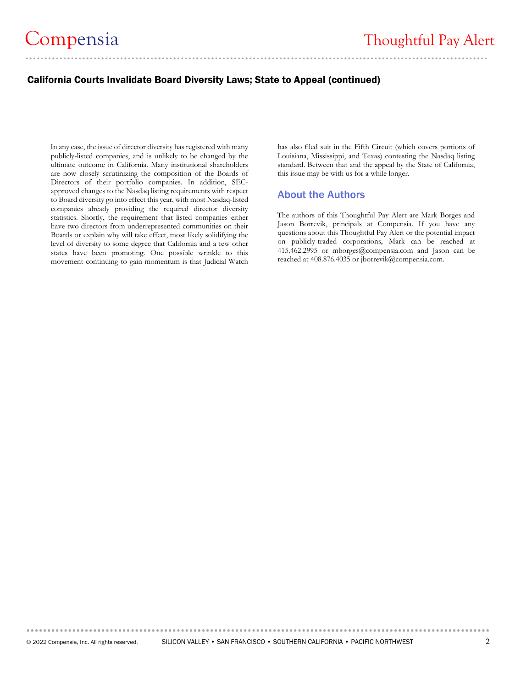#### California Courts Invalidate Board Diversity Laws; State to Appeal (continued)

In any case, the issue of director diversity has registered with many publicly-listed companies, and is unlikely to be changed by the ultimate outcome in California. Many institutional shareholders are now closely scrutinizing the composition of the Boards of Directors of their portfolio companies. In addition, SECapproved changes to the Nasdaq listing requirements with respect to Board diversity go into effect this year, with most Nasdaq-listed companies already providing the required director diversity statistics. Shortly, the requirement that listed companies either have two directors from underrepresented communities on their Boards or explain why will take effect, most likely solidifying the level of diversity to some degree that California and a few other states have been promoting. One possible wrinkle to this movement continuing to gain momentum is that Judicial Watch

has also filed suit in the Fifth Circuit (which covers portions of Louisiana, Mississippi, and Texas) contesting the Nasdaq listing standard. Between that and the appeal by the State of California, this issue may be with us for a while longer.

#### About the Authors

The authors of this Thoughtful Pay Alert are Mark Borges and Jason Borrevik, principals at Compensia. If you have any questions about this Thoughtful Pay Alert or the potential impact on publicly-traded corporations, Mark can be reached at 415.462.2995 or [mborges@compensia.com](mailto:mborges@compensia.com) and Jason can be reached at 408.876.4035 o[r jborrevik@compensia.com.](mailto:jborrevik@compensia.com) 

**...............................................................................................................**